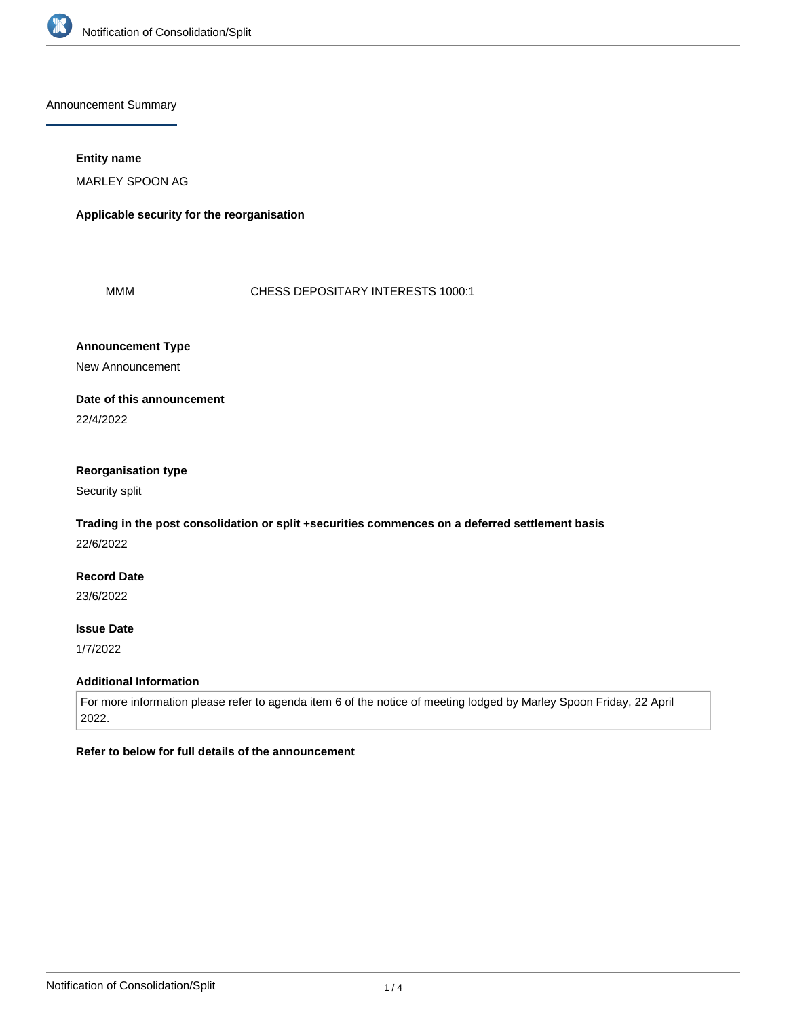

Announcement Summary

### **Entity name**

MARLEY SPOON AG

**Applicable security for the reorganisation**

MMM CHESS DEPOSITARY INTERESTS 1000:1

# **Announcement Type**

New Announcement

## **Date of this announcement**

22/4/2022

### **Reorganisation type**

Security split

# **Trading in the post consolidation or split +securities commences on a deferred settlement basis**

22/6/2022

# **Record Date**

23/6/2022

## **Issue Date**

1/7/2022

### **Additional Information**

For more information please refer to agenda item 6 of the notice of meeting lodged by Marley Spoon Friday, 22 April 2022.

# **Refer to below for full details of the announcement**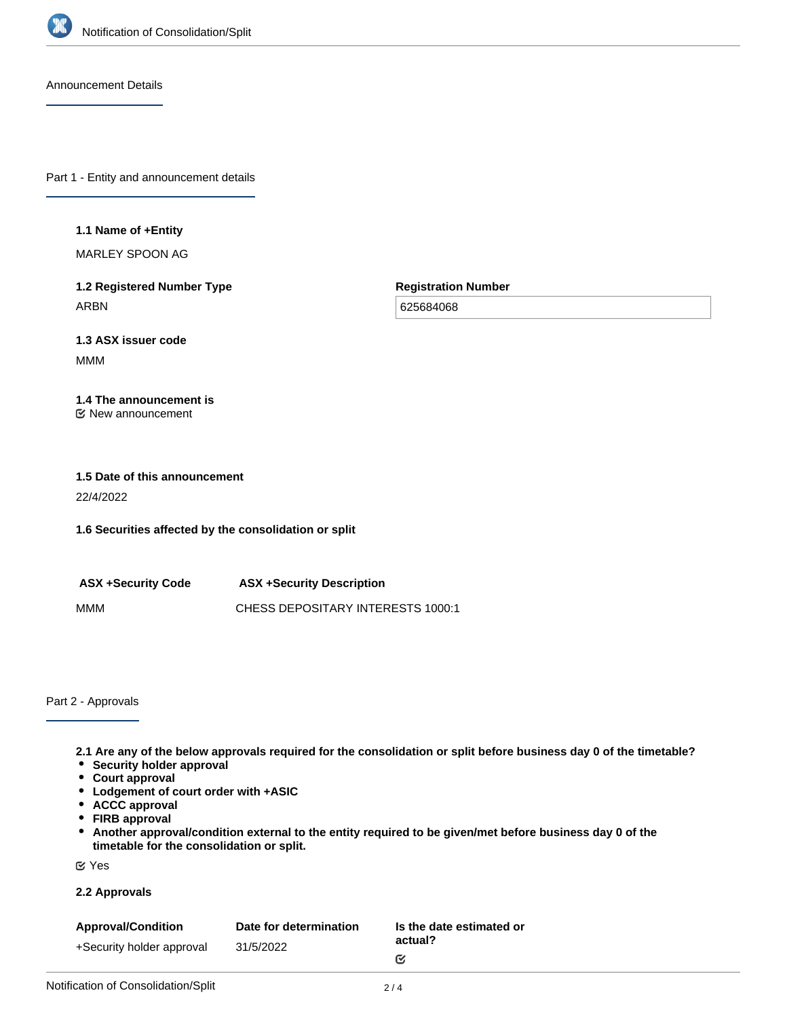

Announcement Details

Part 1 - Entity and announcement details

### **1.1 Name of +Entity**

MARLEY SPOON AG

**1.2 Registered Number Type** ARBN

**Registration Number**

625684068

# **1.3 ASX issuer code**

MMM

#### **1.4 The announcement is** New announcement

# **1.5 Date of this announcement** 22/4/2022

**1.6 Securities affected by the consolidation or split**

**ASX +Security Code ASX +Security Description** MMM CHESS DEPOSITARY INTERESTS 1000:1

Part 2 - Approvals

**2.1 Are any of the below approvals required for the consolidation or split before business day 0 of the timetable?**

- **Security holder approval**
- **Court approval**
- **Lodgement of court order with +ASIC**
- **ACCC approval**
- **FIRB approval**
- **Another approval/condition external to the entity required to be given/met before business day 0 of the timetable for the consolidation or split.**

Yes

### **2.2 Approvals**

| <b>Approval/Condition</b> | Date for determination | Is the date estimated or |
|---------------------------|------------------------|--------------------------|
| +Security holder approval | 31/5/2022              | actual?                  |
|                           |                        | ſV.                      |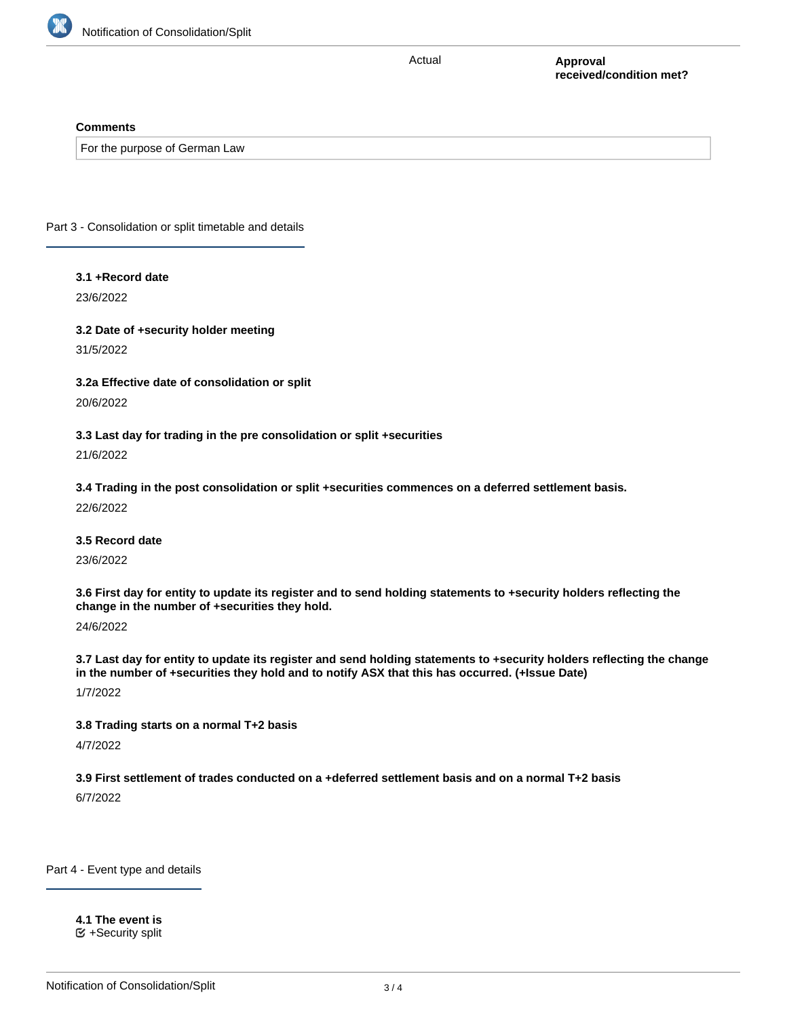

Actual

**Approval received/condition met?**

### **Comments**

For the purpose of German Law

Part 3 - Consolidation or split timetable and details

### **3.1 +Record date**

23/6/2022

**3.2 Date of +security holder meeting** 31/5/2022

**3.2a Effective date of consolidation or split** 20/6/2022

**3.3 Last day for trading in the pre consolidation or split +securities** 21/6/2022

**3.4 Trading in the post consolidation or split +securities commences on a deferred settlement basis.** 22/6/2022

**3.5 Record date**

23/6/2022

**3.6 First day for entity to update its register and to send holding statements to +security holders reflecting the change in the number of +securities they hold.**

24/6/2022

**3.7 Last day for entity to update its register and send holding statements to +security holders reflecting the change in the number of +securities they hold and to notify ASX that this has occurred. (+Issue Date)**

1/7/2022

**3.8 Trading starts on a normal T+2 basis**

4/7/2022

**3.9 First settlement of trades conducted on a +deferred settlement basis and on a normal T+2 basis**

6/7/2022

Part 4 - Event type and details

**4.1 The event is**  $\mathfrak{S}$  +Security split